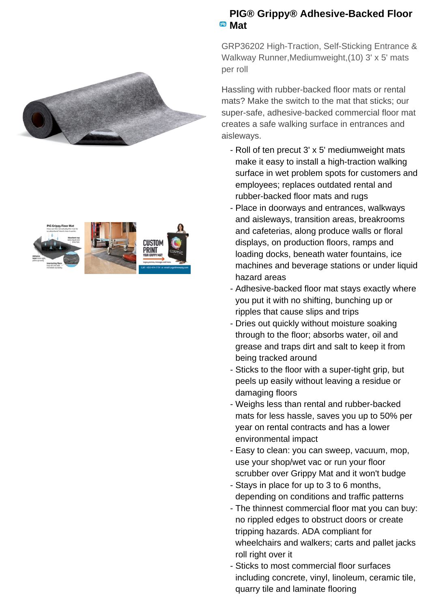



## **PIG® Grippy® Adhesive-Backed Floor Mat**

GRP36202 High-Traction, Self-Sticking Entrance & Walkway Runner,Mediumweight,(10) 3' x 5' mats per roll

Hassling with rubber-backed floor mats or rental mats? Make the switch to the mat that sticks; our super-safe, adhesive-backed commercial floor mat creates a safe walking surface in entrances and aisleways.

- Roll of ten precut 3' x 5' mediumweight mats make it easy to install a high-traction walking surface in wet problem spots for customers and employees; replaces outdated rental and rubber-backed floor mats and rugs
- Place in doorways and entrances, walkways and aisleways, transition areas, breakrooms and cafeterias, along produce walls or floral displays, on production floors, ramps and loading docks, beneath water fountains, ice machines and beverage stations or under liquid hazard areas
- Adhesive-backed floor mat stays exactly where you put it with no shifting, bunching up or ripples that cause slips and trips
- Dries out quickly without moisture soaking through to the floor; absorbs water, oil and grease and traps dirt and salt to keep it from being tracked around
- Sticks to the floor with a super-tight grip, but peels up easily without leaving a residue or damaging floors
- Weighs less than rental and rubber-backed mats for less hassle, saves you up to 50% per year on rental contracts and has a lower environmental impact
- Easy to clean: you can sweep, vacuum, mop, use your shop/wet vac or run your floor scrubber over Grippy Mat and it won't budge
- Stays in place for up to 3 to 6 months, depending on conditions and traffic patterns
- The thinnest commercial floor mat you can buy: no rippled edges to obstruct doors or create tripping hazards. ADA compliant for wheelchairs and walkers; carts and pallet jacks roll right over it
- Sticks to most commercial floor surfaces including concrete, vinyl, linoleum, ceramic tile, quarry tile and laminate flooring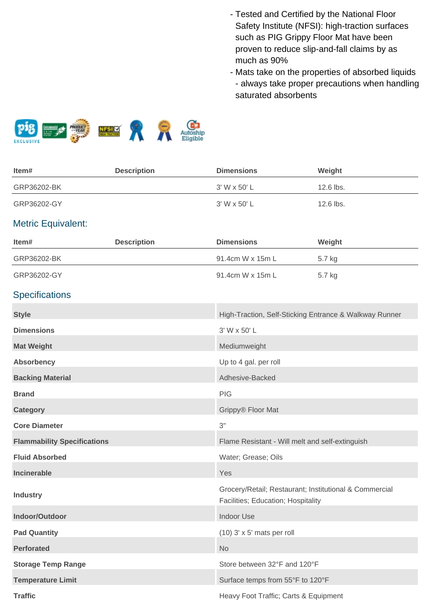- Tested and Certified by the National Floor Safety Institute (NFSI): high-traction surfaces such as PIG Grippy Floor Mat have been proven to reduce slip-and-fall claims by as much as 90%
- Mats take on the properties of absorbed liquids - always take proper precautions when handling saturated absorbents



| Item#                              | <b>Description</b> | <b>Dimensions</b>                                                                            | Weight    |  |
|------------------------------------|--------------------|----------------------------------------------------------------------------------------------|-----------|--|
| GRP36202-BK                        |                    | 3' W x 50' L                                                                                 | 12.6 lbs. |  |
| GRP36202-GY                        |                    | 3' W x 50' L                                                                                 | 12.6 lbs. |  |
| <b>Metric Equivalent:</b>          |                    |                                                                                              |           |  |
| Item#                              | <b>Description</b> | <b>Dimensions</b>                                                                            | Weight    |  |
| GRP36202-BK                        |                    | 91.4cm W x 15m L                                                                             | 5.7 kg    |  |
| GRP36202-GY                        |                    | 91.4cm W x 15m L                                                                             | 5.7 kg    |  |
| <b>Specifications</b>              |                    |                                                                                              |           |  |
| <b>Style</b>                       |                    | High-Traction, Self-Sticking Entrance & Walkway Runner                                       |           |  |
| <b>Dimensions</b>                  |                    | 3' W x 50' L                                                                                 |           |  |
| <b>Mat Weight</b>                  |                    | Mediumweight                                                                                 |           |  |
| <b>Absorbency</b>                  |                    | Up to 4 gal. per roll                                                                        |           |  |
| <b>Backing Material</b>            |                    | Adhesive-Backed                                                                              |           |  |
| <b>Brand</b>                       |                    | <b>PIG</b>                                                                                   |           |  |
| <b>Category</b>                    |                    | Grippy® Floor Mat                                                                            |           |  |
| <b>Core Diameter</b>               |                    | 3"                                                                                           |           |  |
| <b>Flammability Specifications</b> |                    | Flame Resistant - Will melt and self-extinguish                                              |           |  |
| <b>Fluid Absorbed</b>              |                    | Water; Grease; Oils                                                                          |           |  |
| Incinerable                        |                    | Yes                                                                                          |           |  |
| <b>Industry</b>                    |                    | Grocery/Retail; Restaurant; Institutional & Commercial<br>Facilities; Education; Hospitality |           |  |
| Indoor/Outdoor                     |                    | <b>Indoor Use</b>                                                                            |           |  |
| <b>Pad Quantity</b>                |                    | $(10)$ 3' x 5' mats per roll                                                                 |           |  |
| <b>Perforated</b>                  |                    | <b>No</b>                                                                                    |           |  |
| <b>Storage Temp Range</b>          |                    | Store between 32°F and 120°F                                                                 |           |  |
| <b>Temperature Limit</b>           |                    | Surface temps from 55°F to 120°F                                                             |           |  |
| <b>Traffic</b>                     |                    | Heavy Foot Traffic; Carts & Equipment                                                        |           |  |